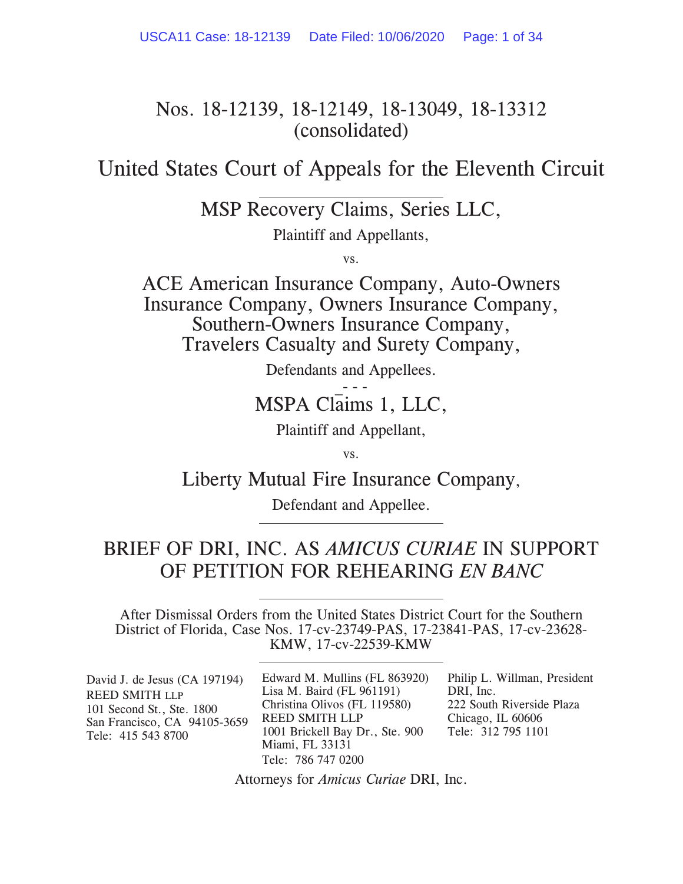# Nos. 18-12139, 18-12149, 18-13049, 18-13312 (consolidated)

United States Court of Appeals for the Eleventh Circuit

MSP Recovery Claims, Series LLC,

Plaintiff and Appellants,

vs.

ACE American Insurance Company, Auto-Owners Insurance Company, Owners Insurance Company, Southern-Owners Insurance Company, Travelers Casualty and Surety Company,

Defendants and Appellees.

 $\rightarrow$  -  $\leftarrow$ MSPA Claims 1, LLC,

Plaintiff and Appellant,

vs.

Liberty Mutual Fire Insurance Company,

Defendant and Appellee.

# BRIEF OF DRI, INC. AS *AMICUS CURIAE* IN SUPPORT OF PETITION FOR REHEARING *EN BANC*

After Dismissal Orders from the United States District Court for the Southern District of Florida, Case Nos. 17-cv-23749-PAS, 17-23841-PAS, 17-cv-23628- KMW, 17-cv-22539-KMW

| David J. de Jesus (CA 197194)<br><b>REED SMITH LLP</b><br>101 Second St., Ste. 1800<br>San Francisco, CA 94105-3659<br>Tele: 415 543 8700 | Edward M. Mullins (FL 863920)   | Philip L. Willman, President |
|-------------------------------------------------------------------------------------------------------------------------------------------|---------------------------------|------------------------------|
|                                                                                                                                           | Lisa M. Baird (FL $961191$ )    | DRI, Inc.                    |
|                                                                                                                                           | Christina Olivos (FL 119580)    | 222 South Riverside Plaza    |
|                                                                                                                                           | <b>REED SMITH LLP</b>           | Chicago, IL 60606            |
|                                                                                                                                           | 1001 Brickell Bay Dr., Ste. 900 | Tele: 312 795 1101           |
|                                                                                                                                           | Miami, FL 33131                 |                              |
|                                                                                                                                           | Tele: 786 747 0200              |                              |

Attorneys for *Amicus Curiae* DRI, Inc.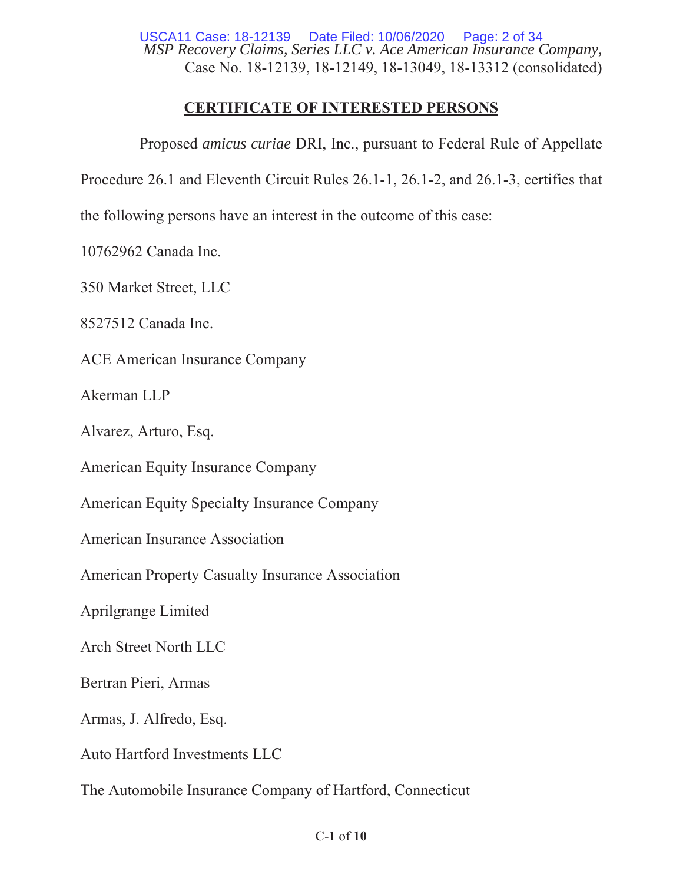*MSP Recovery Claims, Series LLC v. Ace American Insurance Company,*  Case No. 18-12139, 18-12149, 18-13049, 18-13312 (consolidated) USCA11 Case: 18-12139 Date Filed: 10/06/2020 Page: 2 of 34

# **CERTIFICATE OF INTERESTED PERSONS**

Proposed *amicus curiae* DRI, Inc., pursuant to Federal Rule of Appellate

Procedure 26.1 and Eleventh Circuit Rules 26.1-1, 26.1-2, and 26.1-3, certifies that

the following persons have an interest in the outcome of this case:

10762962 Canada Inc.

350 Market Street, LLC

8527512 Canada Inc.

ACE American Insurance Company

 $A$ kerman  $LLP$ 

Alvarez, Arturo, Esq.

American Equity Insurance Company

American Equity Specialty Insurance Company

American Insurance Association

American Property Casualty Insurance Association

Aprilgrange Limited

Arch Street North LLC

Bertran Pieri, Armas

Armas, J. Alfredo, Esq.

Auto Hartford Investments LLC

The Automobile Insurance Company of Hartford, Connecticut

## $C-1$  of  $10$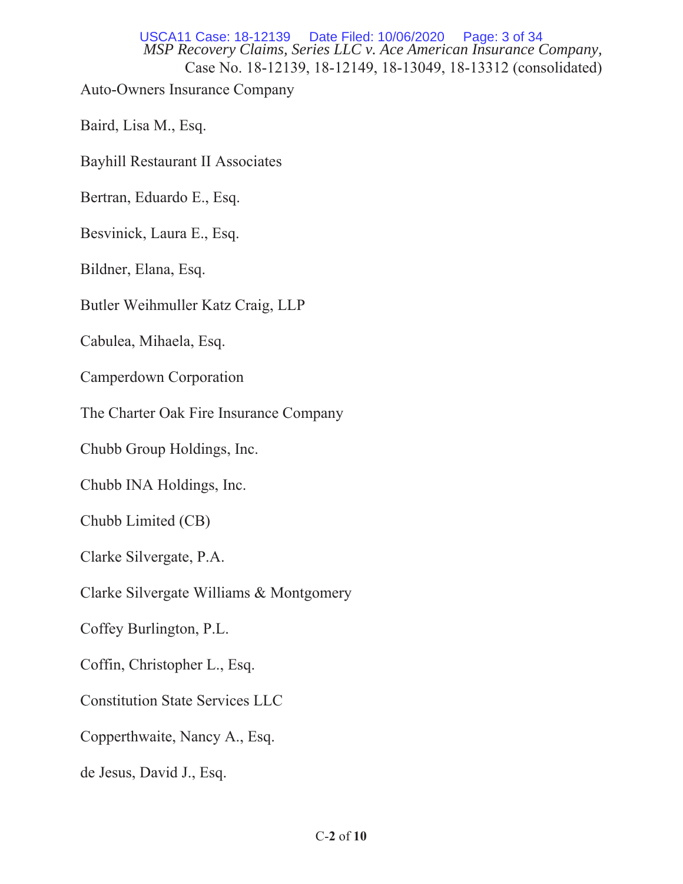*MSP Recovery Claims, Series LLC v. Ace American Insurance Company,*  Case No. 18-12139, 18-12149, 18-13049, 18-13312 (consolidated) Auto-Owners Insurance Company USCA11 Case: 18-12139 Date Filed: 10/06/2020 Page: 3 of 34

Baird, Lisa M., Esq.

Bayhill Restaurant II Associates

Bertran, Eduardo E., Esq.

Besvinick, Laura E., Esq.

Bildner, Elana, Esq.

Butler Weihmuller Katz Craig, LLP

Cabulea, Mihaela, Esq.

Camperdown Corporation

The Charter Oak Fire Insurance Company

Chubb Group Holdings, Inc.

Chubb INA Holdings, Inc.

 $Chubb$  Limited  $(CB)$ 

Clarke Silvergate, P.A.

Clarke Silvergate Williams & Montgomery

Coffey Burlington, P.L.

Coffin, Christopher L., Esq.

Constitution State Services LLC

Copperthwaite, Nancy A., Esq.

de Jesus, David J., Esq.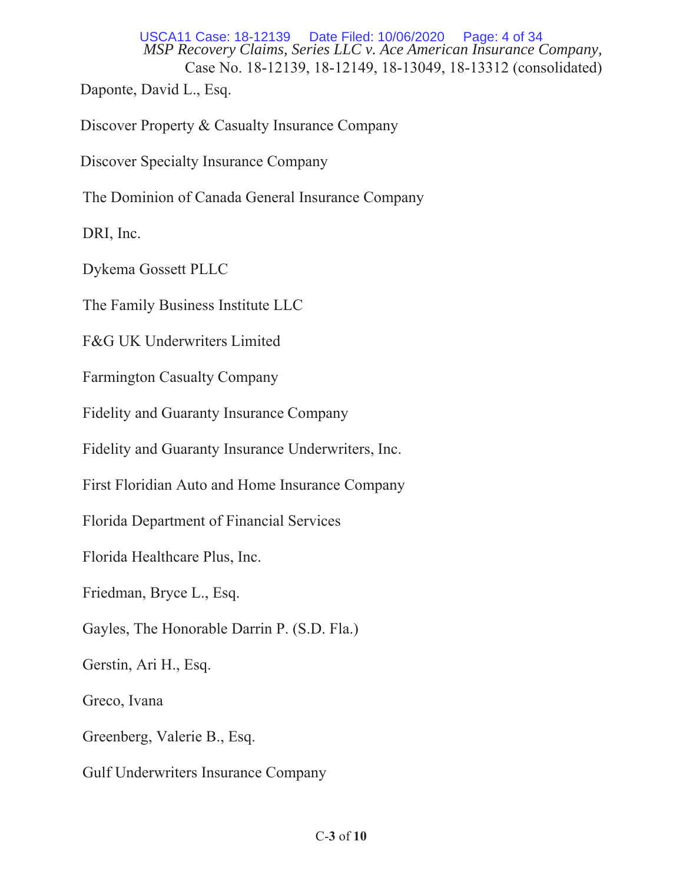*MSP Recovery Claims, Series LLC v. Ace American Insurance Company,*  Case No. 18-12139, 18-12149, 18-13049, 18-13312 (consolidated) USCA11 Case: 18-12139 Date Filed: 10/06/2020 Page: 4 of 34

Daponte, David L., Esq.

Discover Property & Casualty Insurance Company

Discover Specialty Insurance Company

The Dominion of Canada General Insurance Company

DRI, Inc.

Dykema Gossett PLLC

The Family Business Institute LLC

F&G UK Underwriters Limited

Farmington Casualty Company

Fidelity and Guaranty Insurance Company

Fidelity and Guaranty Insurance Underwriters, Inc.

First Floridian Auto and Home Insurance Company

Florida Department of Financial Services

Florida Healthcare Plus, Inc.

Friedman, Bryce L., Esq.

Gayles, The Honorable Darrin P. (S.D. Fla.)

Gerstin, Ari H., Esq.

Greco, Ivana

Greenberg, Valerie B., Esq.

Gulf Underwriters Insurance Company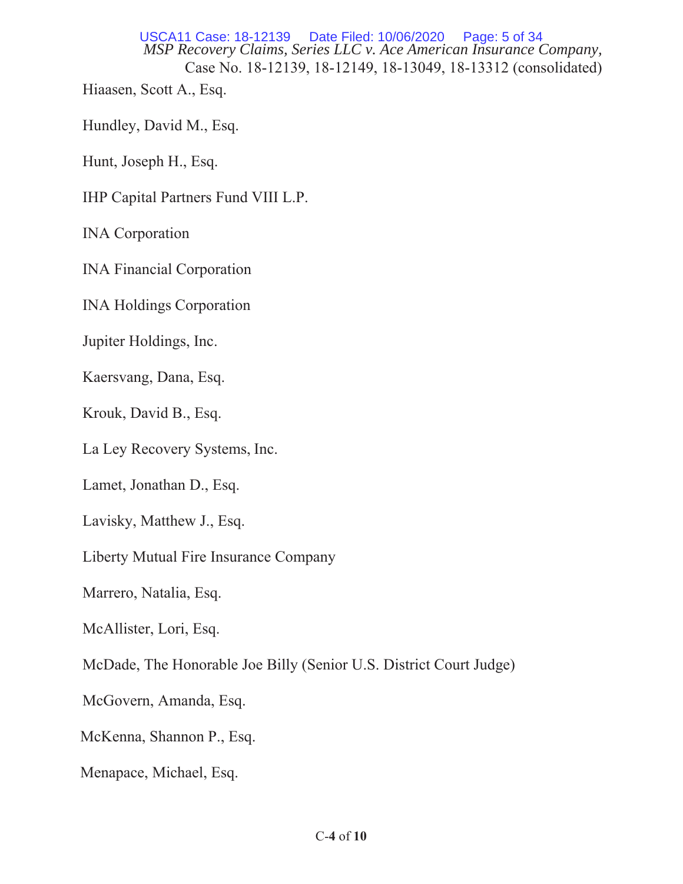*MSP Recovery Claims, Series LLC v. Ace American Insurance Company,*  Case No. 18-12139, 18-12149, 18-13049, 18-13312 (consolidated) USCA11 Case: 18-12139 Date Filed: 10/06/2020 Page: 5 of 34

Hiaasen, Scott A., Esq.

Hundley, David M., Esq.

Hunt, Joseph H., Esq.

IHP Capital Partners Fund VIII L.P.

INA Corporation

INA Financial Corporation

INA Holdings Corporation

Jupiter Holdings, Inc.

Kaersvang, Dana, Esq.

Krouk, David B., Esq.

La Ley Recovery Systems, Inc.

Lamet, Jonathan D., Esq.

Lavisky, Matthew J., Esq.

Liberty Mutual Fire Insurance Company

Marrero, Natalia, Esq.

McAllister, Lori, Esq.

McDade, The Honorable Joe Billy (Senior U.S. District Court Judge)

McGovern, Amanda, Esq.

McKenna, Shannon P., Esq.

Menapace, Michael, Esq.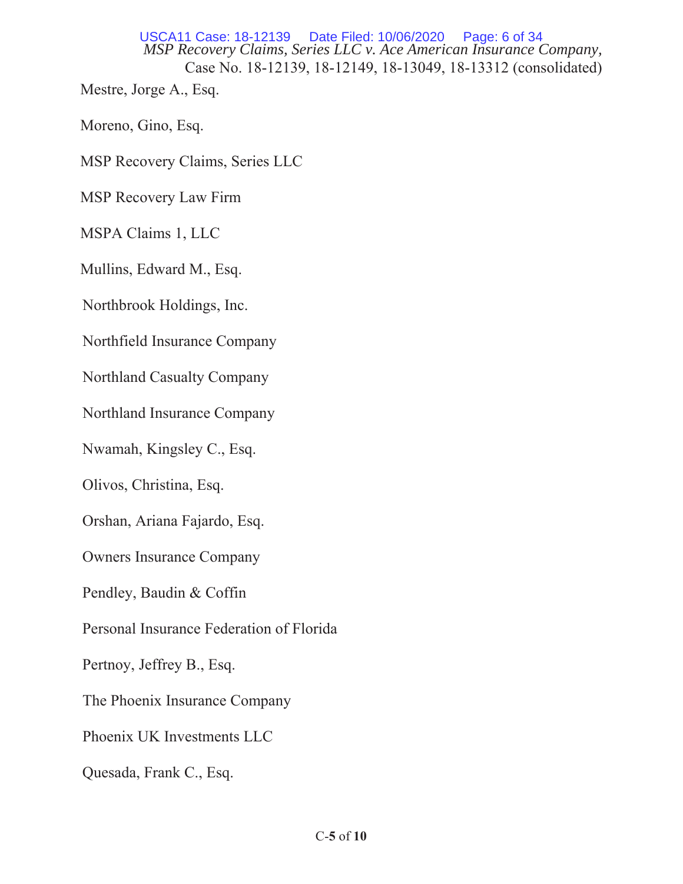*MSP Recovery Claims, Series LLC v. Ace American Insurance Company,*  Case No. 18-12139, 18-12149, 18-13049, 18-13312 (consolidated) USCA11 Case: 18-12139

Mestre, Jorge A., Esq.

Moreno, Gino, Esq.

MSP Recovery Claims, Series LLC

MSP Recovery Law Firm

MSPA Claims 1, LLC

Mullins, Edward M., Esq.

Northbrook Holdings, Inc.

Northfield Insurance Company

Northland Casualty Company

Northland Insurance Company

Nwamah, Kingsley C., Esq.

Olivos, Christina, Esq.

Orshan, Ariana Fajardo, Esq.

Owners Insurance Company

Pendley, Baudin & Coffin

Personal Insurance Federation of Florida

Pertnoy, Jeffrey B., Esq.

The Phoenix Insurance Company

Phoenix UK Investments LLC

Quesada, Frank C., Esq.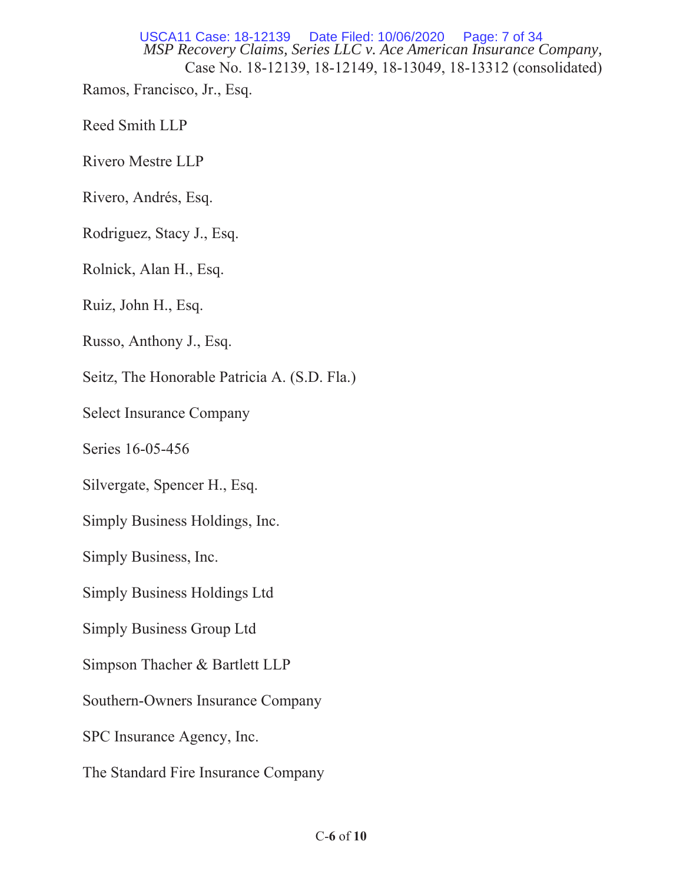*MSP Recovery Claims, Series LLC v. Ace American Insurance Company,*  Case No. 18-12139, 18-12149, 18-13049, 18-13312 (consolidated) Ramos, Francisco, Jr., Esq. USCA11 Case: 18-12139 Date Filed: 10/06/2020 Page: 7 of 34

Reed Smith LLP

Rivero Mestre LLP

Rivero, Andrés, Esq.

Rodriguez, Stacy J., Esq.

Rolnick, Alan H., Esq.

Ruiz, John H., Esq.

Russo, Anthony J., Esq.

Seitz, The Honorable Patricia A. (S.D. Fla.)

Select Insurance Company

Series 16-05-456

Silvergate, Spencer H., Esq.

Simply Business Holdings, Inc.

Simply Business, Inc.

Simply Business Holdings Ltd

Simply Business Group Ltd

Simpson Thacher & Bartlett LLP

Southern-Owners Insurance Company

SPC Insurance Agency, Inc.

The Standard Fire Insurance Company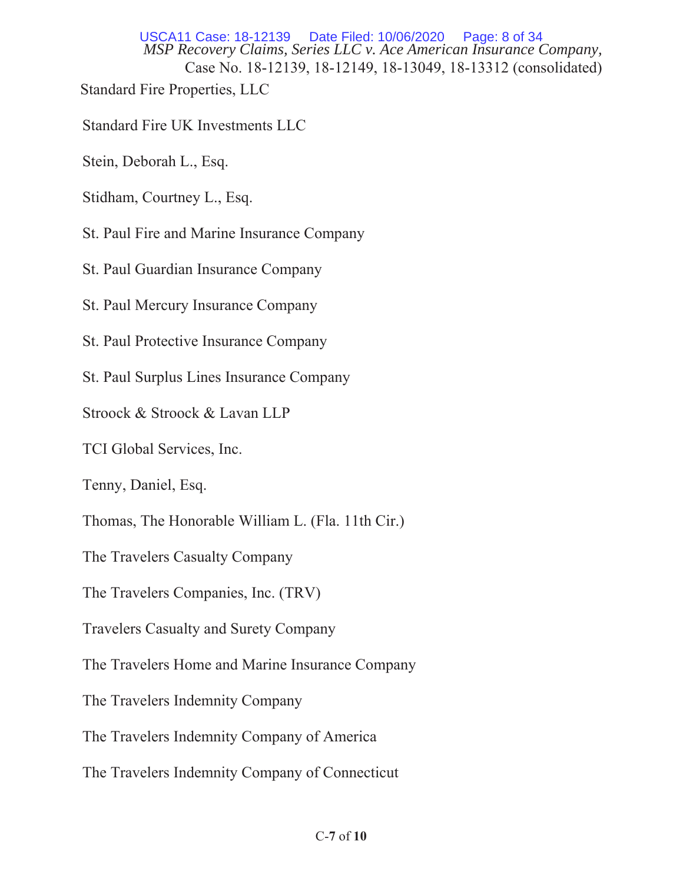*MSP Recovery Claims, Series LLC v. Ace American Insurance Company,*  Case No. 18-12139, 18-12149, 18-13049, 18-13312 (consolidated) Standard Fire Properties, LLC USCA11 Case: 18-12139 Date Filed: 10/06/2020 Page: 8 of 34

- Standard Fire UK Investments LLC
- Stein, Deborah L., Esq.
- Stidham, Courtney L., Esq.
- St. Paul Fire and Marine Insurance Company
- St. Paul Guardian Insurance Company
- St. Paul Mercury Insurance Company
- St. Paul Protective Insurance Company
- St. Paul Surplus Lines Insurance Company
- Stroock & Stroock & Lavan LLP
- TCI Global Services, Inc.
- Tenny, Daniel, Esq.
- Thomas, The Honorable William L. (Fla. 11th Cir.)
- The Travelers Casualty Company
- The Travelers Companies, Inc. (TRV)
- Travelers Casualty and Surety Company
- The Travelers Home and Marine Insurance Company
- The Travelers Indemnity Company
- The Travelers Indemnity Company of America
- The Travelers Indemnity Company of Connecticut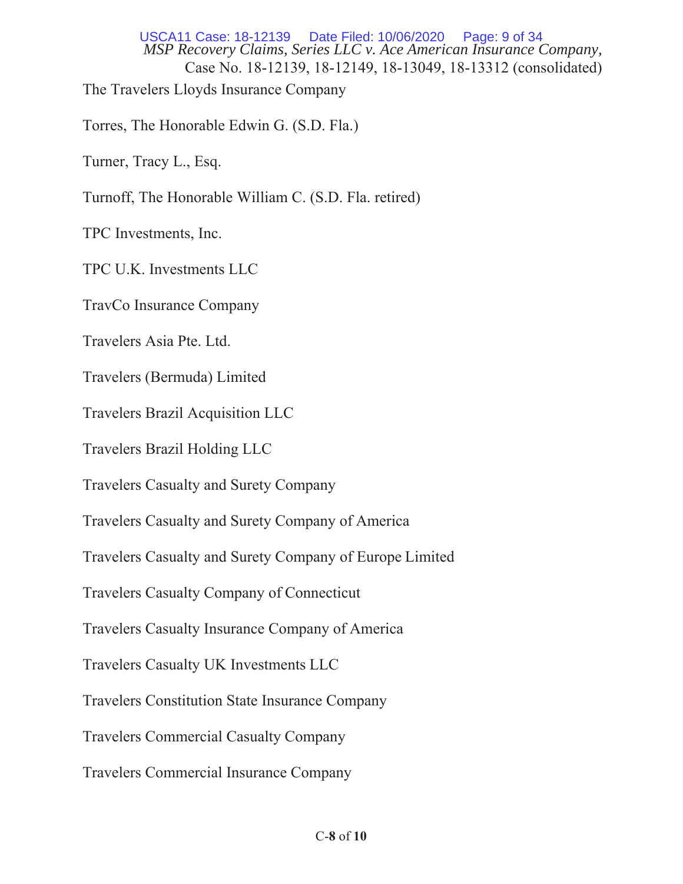*MSP Recovery Claims, Series LLC v. Ace American Insurance Company,*  Case No. 18-12139, 18-12149, 18-13049, 18-13312 (consolidated) The Travelers Lloyds Insurance Company USCA11 Case: 18-12139 Date Filed: 10/06/2020 Page: 9 of 34

Torres, The Honorable Edwin G. (S.D. Fla.)

Turner, Tracy L., Esq.

Turnoff, The Honorable William C. (S.D. Fla. retired)

TPC Investments, Inc.

TPC U.K. Investments LLC

TravCo Insurance Company

Travelers Asia Pte, Ltd.

Travelers (Bermuda) Limited

Travelers Brazil Acquisition LLC

Travelers Brazil Holding LLC

Travelers Casualty and Surety Company

Travelers Casualty and Surety Company of America

Travelers Casualty and Surety Company of Europe Limited

Travelers Casualty Company of Connecticut

Travelers Casualty Insurance Company of America

Travelers Casualty UK Investments LLC

Travelers Constitution State Insurance Company

Travelers Commercial Casualty Company

Travelers Commercial Insurance Company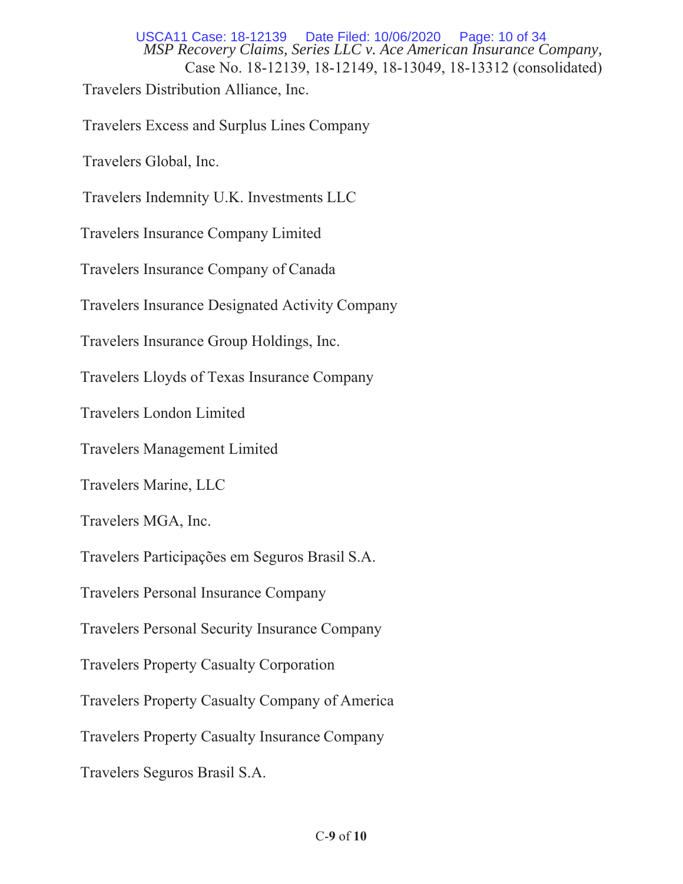*MSP Recovery Claims, Series LLC v. Ace American Insurance Company,*  Case No. 18-12139, 18-12149, 18-13049, 18-13312 (consolidated) Travelers Distribution Alliance, Inc. USCA11 Case: 18-12139 Date Filed: 10/06/2020 Page: 10 of 34

Travelers Excess and Surplus Lines Company

Travelers Global, Inc.

Travelers Indemnity U.K. Investments LLC

Travelers Insurance Company Limited

Travelers Insurance Company of Canada

Travelers Insurance Designated Activity Company

Travelers Insurance Group Holdings, Inc.

Travelers Lloyds of Texas Insurance Company

Travelers London Limited

Travelers Management Limited

Travelers Marine, LLC

Travelers MGA, Inc.

Travelers Participações em Seguros Brasil S.A.

Travelers Personal Insurance Company

Travelers Personal Security Insurance Company

Travelers Property Casualty Corporation

Travelers Property Casualty Company of America

Travelers Property Casualty Insurance Company

Travelers Seguros Brasil S.A.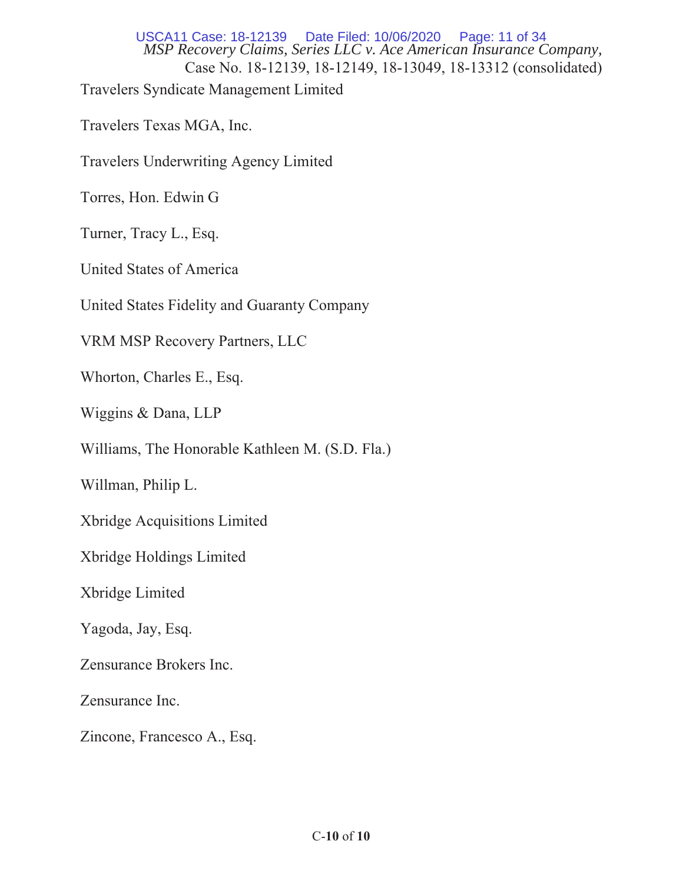*MSP Recovery Claims, Series LLC v. Ace American Insurance Company,*  Case No. 18-12139, 18-12149, 18-13049, 18-13312 (consolidated) Travelers Syndicate Management Limited USCA11 Case: 18-12139 Date Filed: 10/06/2020 Page: 11 of 34

Travelers Texas MGA, Inc.

Travelers Underwriting Agency Limited

Torres, Hon. Edwin G

Turner, Tracy L., Esq.

United States of America

United States Fidelity and Guaranty Company

VRM MSP Recovery Partners, LLC

Whorton, Charles E., Esq.

Wiggins & Dana, LLP

Williams, The Honorable Kathleen M. (S.D. Fla.)

Willman, Philip L.

Xbridge Acquisitions Limited

Xbridge Holdings Limited

Xbridge Limited

Yagoda, Jay, Esq.

Zensurance Brokers Inc.

Zensurance Inc.

Zincone, Francesco A., Esq.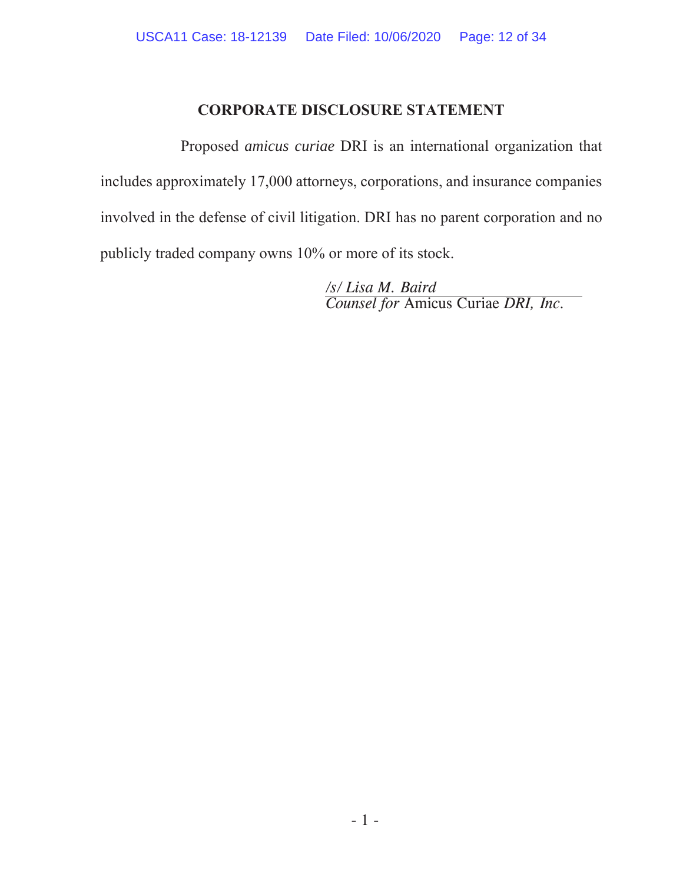# **CORPORATE DISCLOSURE STATEMENT**

Proposed *amicus curiae* DRI is an international organization that includes approximately 17,000 attorneys, corporations, and insurance companies involved in the defense of civil litigation. DRI has no parent corporation and no publicly traded company owns 10% or more of its stock.

> */s/ Lisa M. Baird Counsel for* Amicus Curiae *DRI, Inc.*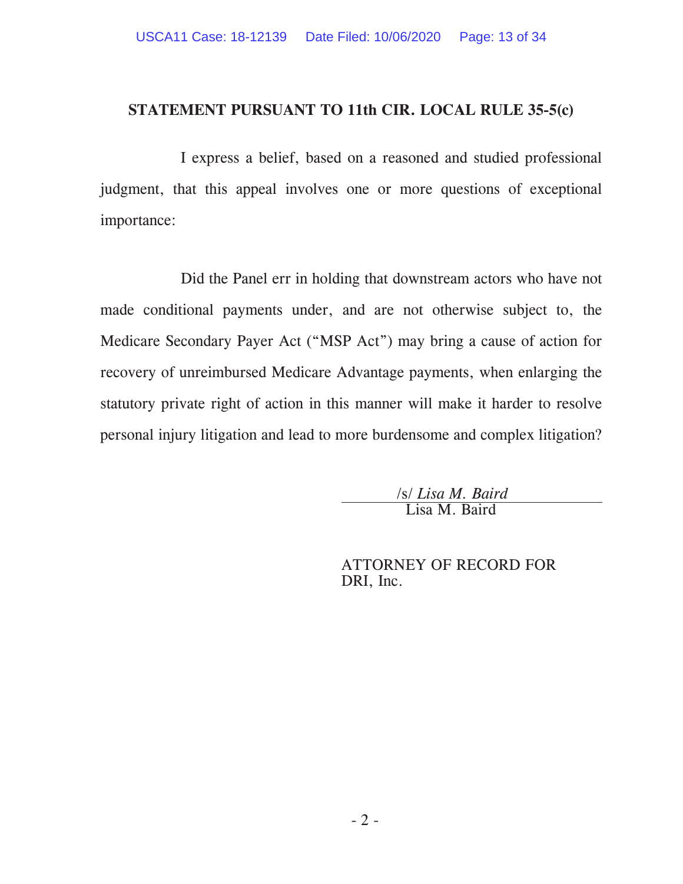## **STATEMENT PURSUANT TO 11th CIR. LOCAL RULE 35-5(c)**

I express a belief, based on a reasoned and studied professional judgment, that this appeal involves one or more questions of exceptional importance:

Did the Panel err in holding that downstream actors who have not made conditional payments under, and are not otherwise subject to, the Medicare Secondary Payer Act ("MSP Act") may bring a cause of action for recovery of unreimbursed Medicare Advantage payments, when enlarging the statutory private right of action in this manner will make it harder to resolve personal injury litigation and lead to more burdensome and complex litigation?

/s/ *Lisa M. Baird* Lisa M. Baird

ATTORNEY OF RECORD FOR DRI, Inc.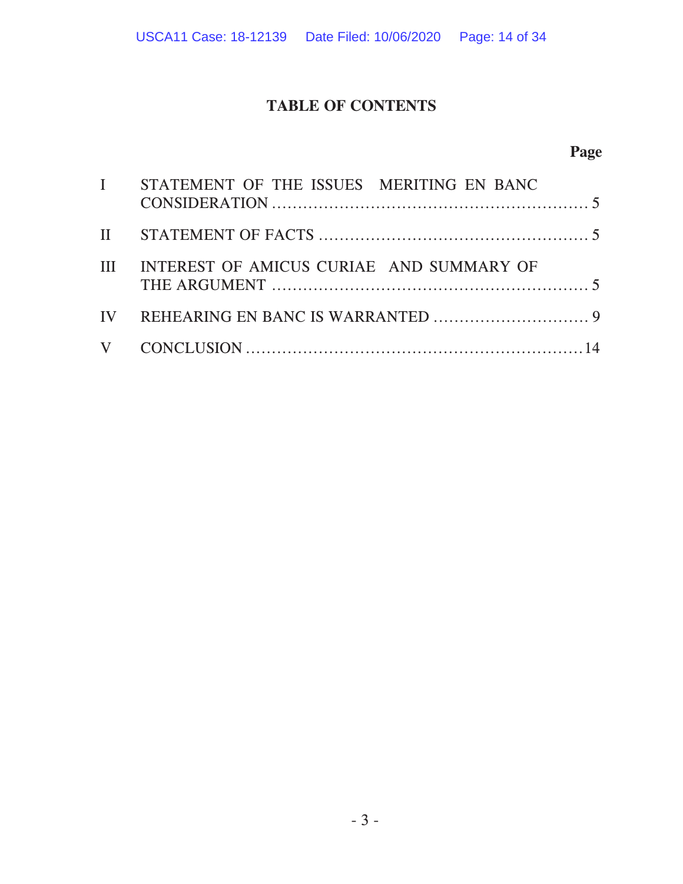# **TABLE OF CONTENTS**

# **Page**

| I STATEMENT OF THE ISSUES MERITING EN BANC   |  |
|----------------------------------------------|--|
|                                              |  |
| III INTEREST OF AMICUS CURIAE AND SUMMARY OF |  |
|                                              |  |
|                                              |  |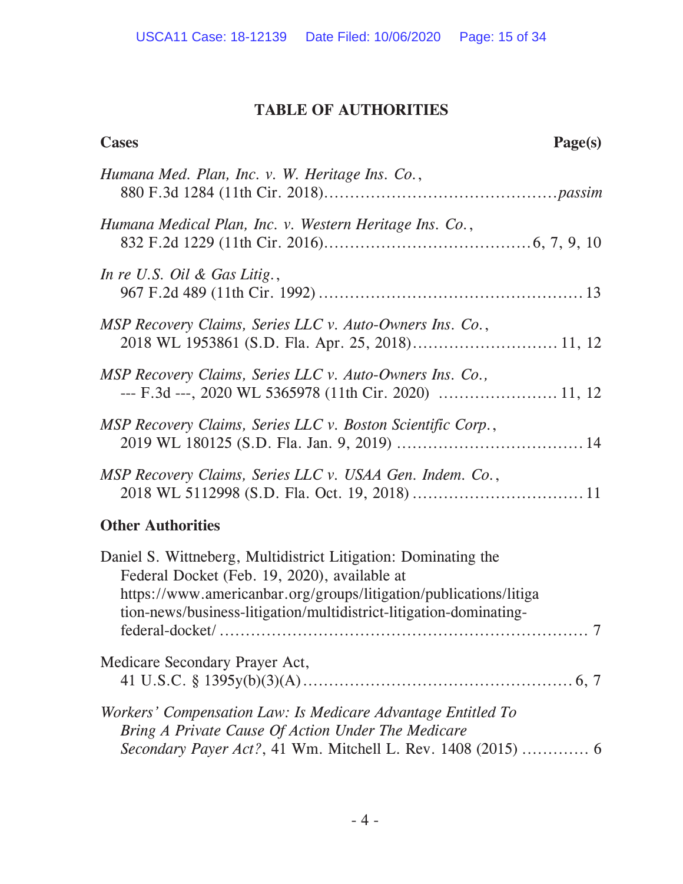# **TABLE OF AUTHORITIES**

| <b>Cases</b><br>Page(s)                                                                                                                                                                                                                                                           |
|-----------------------------------------------------------------------------------------------------------------------------------------------------------------------------------------------------------------------------------------------------------------------------------|
| Humana Med. Plan, Inc. v. W. Heritage Ins. Co.,                                                                                                                                                                                                                                   |
| Humana Medical Plan, Inc. v. Western Heritage Ins. Co.,                                                                                                                                                                                                                           |
| In re U.S. Oil & Gas Litig.,                                                                                                                                                                                                                                                      |
| MSP Recovery Claims, Series LLC v. Auto-Owners Ins. Co.,                                                                                                                                                                                                                          |
| MSP Recovery Claims, Series LLC v. Auto-Owners Ins. Co.,                                                                                                                                                                                                                          |
| MSP Recovery Claims, Series LLC v. Boston Scientific Corp.,                                                                                                                                                                                                                       |
| MSP Recovery Claims, Series LLC v. USAA Gen. Indem. Co.,                                                                                                                                                                                                                          |
| <b>Other Authorities</b>                                                                                                                                                                                                                                                          |
| Daniel S. Wittneberg, Multidistrict Litigation: Dominating the<br>Federal Docket (Feb. 19, 2020), available at<br>https://www.americanbar.org/groups/litigation/publications/litiga<br>tion-news/business-litigation/multidistrict-litigation-dominating-<br>7<br>federal-docket/ |
| Medicare Secondary Prayer Act,                                                                                                                                                                                                                                                    |
| Workers' Compensation Law: Is Medicare Advantage Entitled To<br>Bring A Private Cause Of Action Under The Medicare<br>Secondary Payer Act?, 41 Wm. Mitchell L. Rev. 1408 (2015)  6                                                                                                |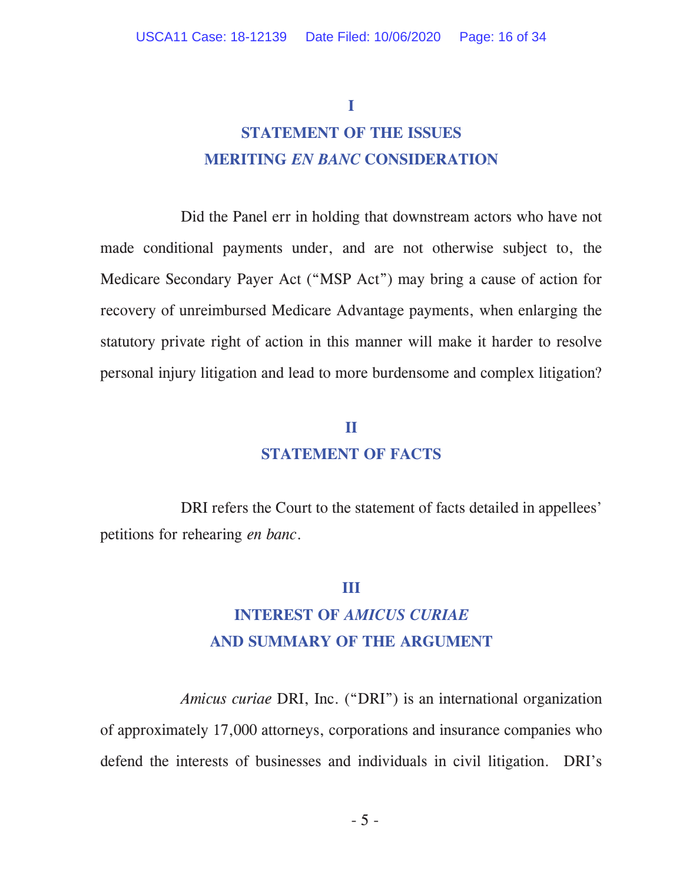#### **I**

# **STATEMENT OF THE ISSUES MERITING** *EN BANC* **CONSIDERATION**

 Did the Panel err in holding that downstream actors who have not made conditional payments under, and are not otherwise subject to, the Medicare Secondary Payer Act ("MSP Act") may bring a cause of action for recovery of unreimbursed Medicare Advantage payments, when enlarging the statutory private right of action in this manner will make it harder to resolve personal injury litigation and lead to more burdensome and complex litigation?

#### **II**

# **STATEMENT OF FACTS**

DRI refers the Court to the statement of facts detailed in appellees' petitions for rehearing *en banc*.

#### **III**

# **INTEREST OF** *AMICUS CURIAE* **AND SUMMARY OF THE ARGUMENT**

*Amicus curiae* DRI, Inc. ("DRI") is an international organization of approximately 17,000 attorneys, corporations and insurance companies who defend the interests of businesses and individuals in civil litigation. DRI's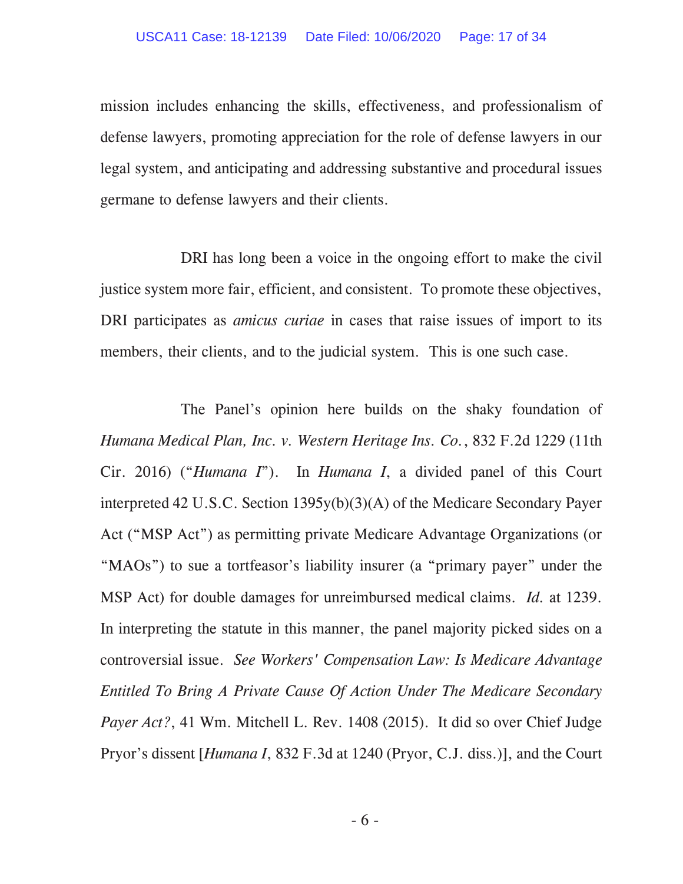mission includes enhancing the skills, effectiveness, and professionalism of defense lawyers, promoting appreciation for the role of defense lawyers in our legal system, and anticipating and addressing substantive and procedural issues germane to defense lawyers and their clients.

DRI has long been a voice in the ongoing effort to make the civil justice system more fair, efficient, and consistent. To promote these objectives, DRI participates as *amicus curiae* in cases that raise issues of import to its members, their clients, and to the judicial system. This is one such case.

The Panel's opinion here builds on the shaky foundation of *Humana Medical Plan, Inc. v. Western Heritage Ins. Co.*, 832 F.2d 1229 (11th Cir. 2016) ("*Humana I*"). In *Humana I*, a divided panel of this Court interpreted 42 U.S.C. Section 1395y(b)(3)(A) of the Medicare Secondary Payer Act ("MSP Act") as permitting private Medicare Advantage Organizations (or "MAOs") to sue a tortfeasor's liability insurer (a "primary payer" under the MSP Act) for double damages for unreimbursed medical claims. *Id.* at 1239. In interpreting the statute in this manner, the panel majority picked sides on a controversial issue. *See Workers' Compensation Law: Is Medicare Advantage Entitled To Bring A Private Cause Of Action Under The Medicare Secondary Payer Act?*, 41 Wm. Mitchell L. Rev. 1408 (2015). It did so over Chief Judge Pryor's dissent [*Humana I*, 832 F.3d at 1240 (Pryor, C.J. diss.)], and the Court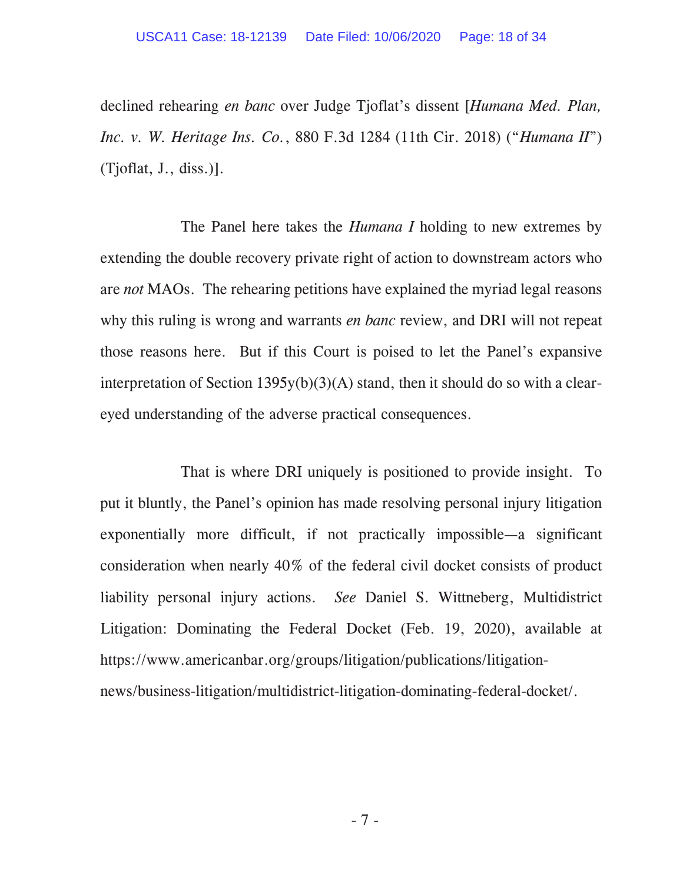declined rehearing *en banc* over Judge Tjoflat's dissent [*Humana Med. Plan, Inc. v. W. Heritage Ins. Co.*, 880 F.3d 1284 (11th Cir. 2018) ("*Humana II*") (Tjoflat, J., diss.)].

The Panel here takes the *Humana I* holding to new extremes by extending the double recovery private right of action to downstream actors who are *not* MAOs. The rehearing petitions have explained the myriad legal reasons why this ruling is wrong and warrants *en banc* review, and DRI will not repeat those reasons here. But if this Court is poised to let the Panel's expansive interpretation of Section 1395y(b)(3)(A) stand, then it should do so with a cleareyed understanding of the adverse practical consequences.

That is where DRI uniquely is positioned to provide insight. To put it bluntly, the Panel's opinion has made resolving personal injury litigation exponentially more difficult, if not practically impossible—a significant consideration when nearly 40% of the federal civil docket consists of product liability personal injury actions. *See* Daniel S. Wittneberg, Multidistrict Litigation: Dominating the Federal Docket (Feb. 19, 2020), available at https://www.americanbar.org/groups/litigation/publications/litigationnews/business-litigation/multidistrict-litigation-dominating-federal-docket/.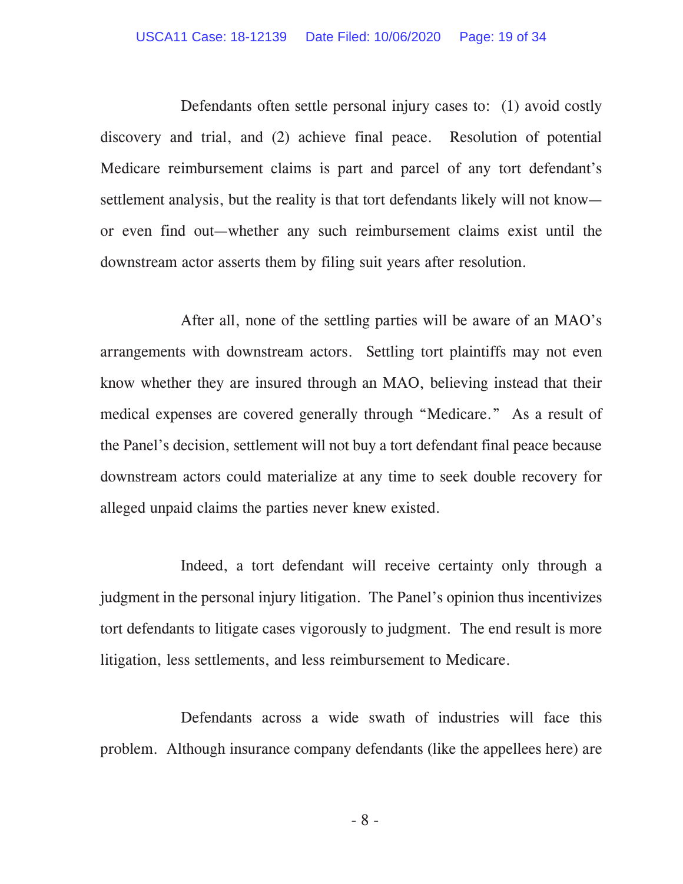#### USCA11 Case: 18-12139 Date Filed: 10/06/2020 Page: 19 of 34

Defendants often settle personal injury cases to: (1) avoid costly discovery and trial, and (2) achieve final peace. Resolution of potential Medicare reimbursement claims is part and parcel of any tort defendant's settlement analysis, but the reality is that tort defendants likely will not know or even find out—whether any such reimbursement claims exist until the downstream actor asserts them by filing suit years after resolution.

After all, none of the settling parties will be aware of an MAO's arrangements with downstream actors. Settling tort plaintiffs may not even know whether they are insured through an MAO, believing instead that their medical expenses are covered generally through "Medicare." As a result of the Panel's decision, settlement will not buy a tort defendant final peace because downstream actors could materialize at any time to seek double recovery for alleged unpaid claims the parties never knew existed.

Indeed, a tort defendant will receive certainty only through a judgment in the personal injury litigation. The Panel's opinion thus incentivizes tort defendants to litigate cases vigorously to judgment. The end result is more litigation, less settlements, and less reimbursement to Medicare.

Defendants across a wide swath of industries will face this problem. Although insurance company defendants (like the appellees here) are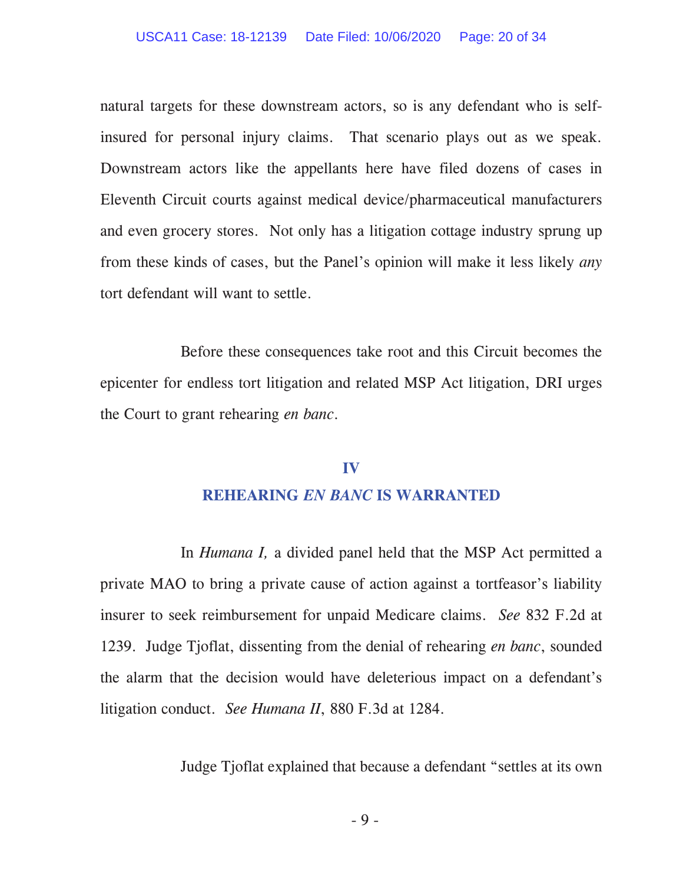natural targets for these downstream actors, so is any defendant who is selfinsured for personal injury claims. That scenario plays out as we speak. Downstream actors like the appellants here have filed dozens of cases in Eleventh Circuit courts against medical device/pharmaceutical manufacturers and even grocery stores. Not only has a litigation cottage industry sprung up from these kinds of cases, but the Panel's opinion will make it less likely *any* tort defendant will want to settle.

Before these consequences take root and this Circuit becomes the epicenter for endless tort litigation and related MSP Act litigation, DRI urges the Court to grant rehearing *en banc*.

# **IV REHEARING** *EN BANC* **IS WARRANTED**

In *Humana I,* a divided panel held that the MSP Act permitted a private MAO to bring a private cause of action against a tortfeasor's liability insurer to seek reimbursement for unpaid Medicare claims. *See* 832 F.2d at 1239. Judge Tjoflat, dissenting from the denial of rehearing *en banc*, sounded the alarm that the decision would have deleterious impact on a defendant's litigation conduct. *See Humana II*, 880 F.3d at 1284.

Judge Tjoflat explained that because a defendant "settles at its own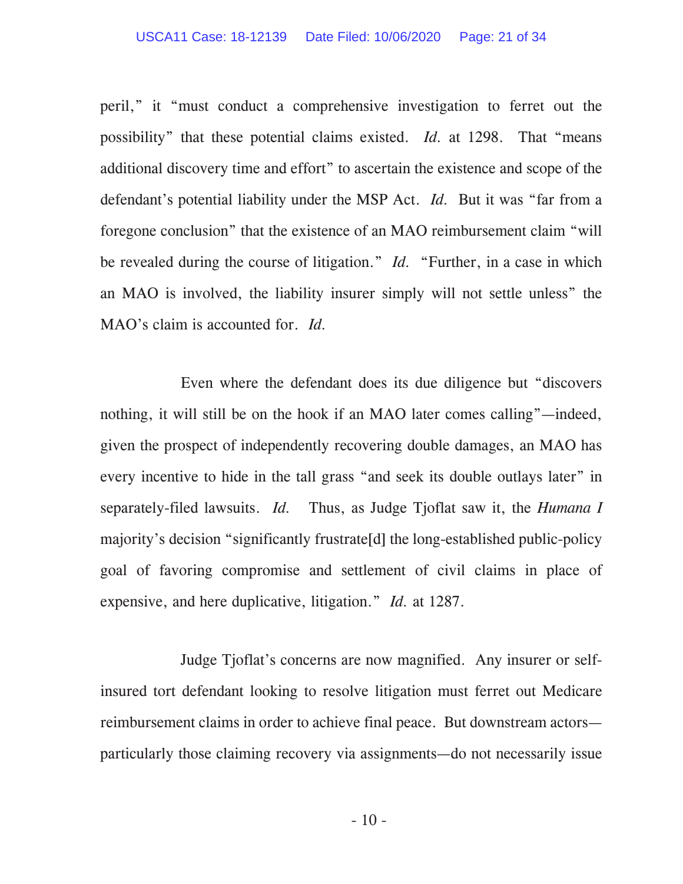#### USCA11 Case: 18-12139 Date Filed: 10/06/2020 Page: 21 of 34

peril," it "must conduct a comprehensive investigation to ferret out the possibility" that these potential claims existed. *Id.* at 1298. That "means additional discovery time and effort" to ascertain the existence and scope of the defendant's potential liability under the MSP Act. *Id.* But it was "far from a foregone conclusion" that the existence of an MAO reimbursement claim "will be revealed during the course of litigation." *Id.* "Further, in a case in which an MAO is involved, the liability insurer simply will not settle unless" the MAO's claim is accounted for. *Id.* 

Even where the defendant does its due diligence but "discovers nothing, it will still be on the hook if an MAO later comes calling"—indeed, given the prospect of independently recovering double damages, an MAO has every incentive to hide in the tall grass "and seek its double outlays later" in separately-filed lawsuits. *Id.* Thus, as Judge Tjoflat saw it, the *Humana I*  majority's decision "significantly frustrate[d] the long-established public-policy goal of favoring compromise and settlement of civil claims in place of expensive, and here duplicative, litigation." *Id.* at 1287.

Judge Tjoflat's concerns are now magnified. Any insurer or selfinsured tort defendant looking to resolve litigation must ferret out Medicare reimbursement claims in order to achieve final peace. But downstream actors particularly those claiming recovery via assignments—do not necessarily issue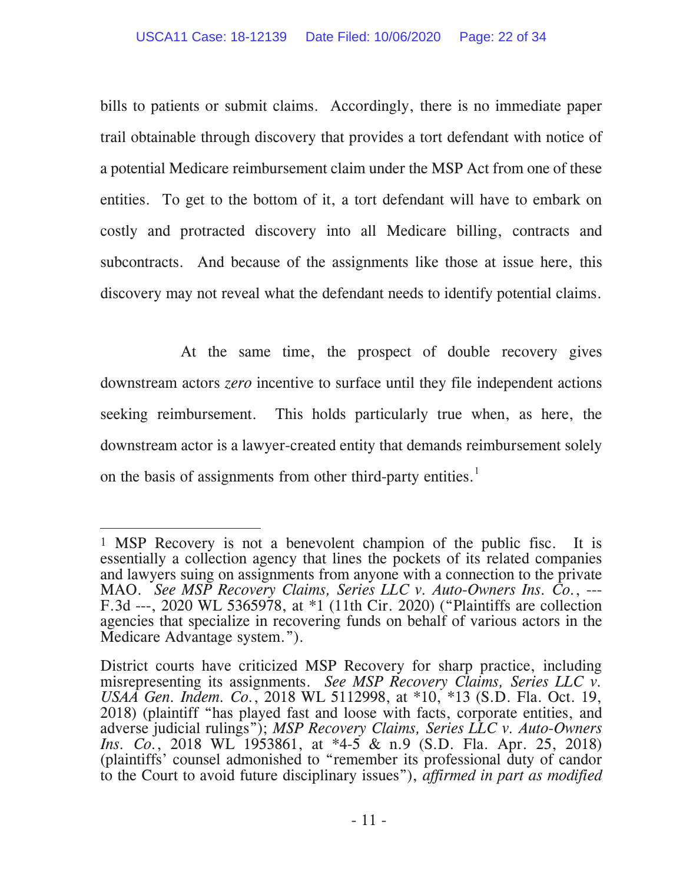bills to patients or submit claims. Accordingly, there is no immediate paper trail obtainable through discovery that provides a tort defendant with notice of a potential Medicare reimbursement claim under the MSP Act from one of these entities. To get to the bottom of it, a tort defendant will have to embark on costly and protracted discovery into all Medicare billing, contracts and subcontracts. And because of the assignments like those at issue here, this discovery may not reveal what the defendant needs to identify potential claims.

At the same time, the prospect of double recovery gives downstream actors *zero* incentive to surface until they file independent actions seeking reimbursement. This holds particularly true when, as here, the downstream actor is a lawyer-created entity that demands reimbursement solely on the basis of assignments from other third-party entities.<sup>1</sup>

 $\overline{a}$  MSP Recovery is not a benevolent champion of the public fisc. It is essentially a collection agency that lines the pockets of its related companies and lawyers suing on assignments from anyone with a connection to the private MAO. *See MSP Recovery Claims, Series LLC v. Auto-Owners Ins. Co.*, --- F.3d ---, 2020 WL 5365978, at \*1 (11th Cir. 2020) ("Plaintiffs are collection agencies that specialize in recovering funds on behalf of various actors in the Medicare Advantage system.").

District courts have criticized MSP Recovery for sharp practice, including misrepresenting its assignments. *See MSP Recovery Claims, Series LLC v. USAA Gen. Indem. Co.*, 2018 WL 5112998, at \*10, \*13 (S.D. Fla. Oct. 19, 2018) (plaintiff "has played fast and loose with facts, corporate entities, and adverse judicial rulings"); *MSP Recovery Claims, Series LLC v. Auto-Owners Ins. Co.*, 2018 WL 1953861, at \*4-5 & n.9 (S.D. Fla. Apr. 25, 2018) (plaintiffs' counsel admonished to "remember its professional duty of candor to the Court to avoid future disciplinary issues"), *affirmed in part as modified*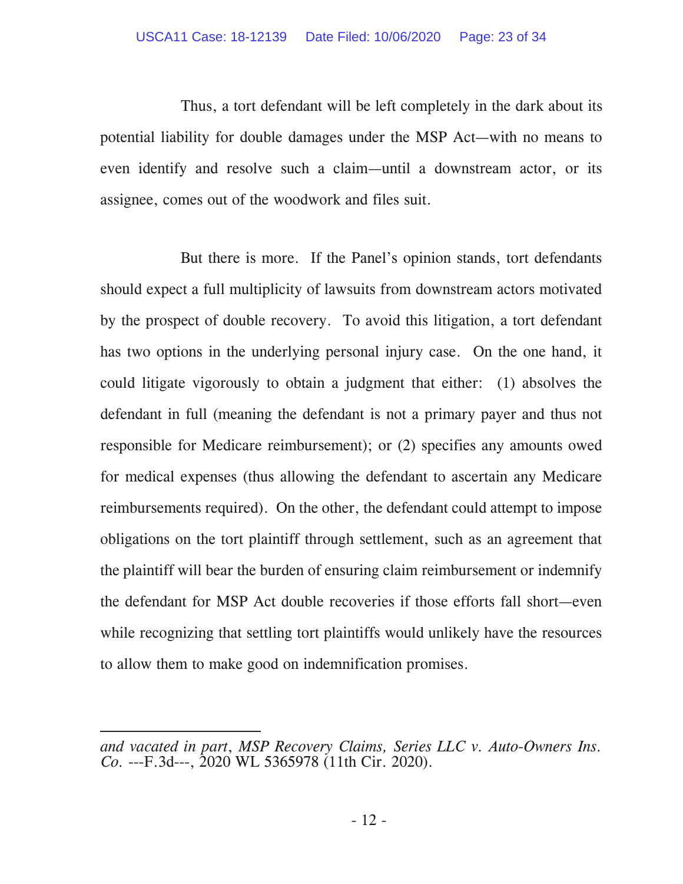Thus, a tort defendant will be left completely in the dark about its potential liability for double damages under the MSP Act—with no means to even identify and resolve such a claim—until a downstream actor, or its assignee, comes out of the woodwork and files suit.

But there is more. If the Panel's opinion stands, tort defendants should expect a full multiplicity of lawsuits from downstream actors motivated by the prospect of double recovery. To avoid this litigation, a tort defendant has two options in the underlying personal injury case. On the one hand, it could litigate vigorously to obtain a judgment that either: (1) absolves the defendant in full (meaning the defendant is not a primary payer and thus not responsible for Medicare reimbursement); or (2) specifies any amounts owed for medical expenses (thus allowing the defendant to ascertain any Medicare reimbursements required). On the other, the defendant could attempt to impose obligations on the tort plaintiff through settlement, such as an agreement that the plaintiff will bear the burden of ensuring claim reimbursement or indemnify the defendant for MSP Act double recoveries if those efforts fall short—even while recognizing that settling tort plaintiffs would unlikely have the resources to allow them to make good on indemnification promises.

-

*and vacated in part*, *MSP Recovery Claims, Series LLC v. Auto-Owners Ins. Co.* ---F.3d---, 2020 WL 5365978 (11th Cir. 2020).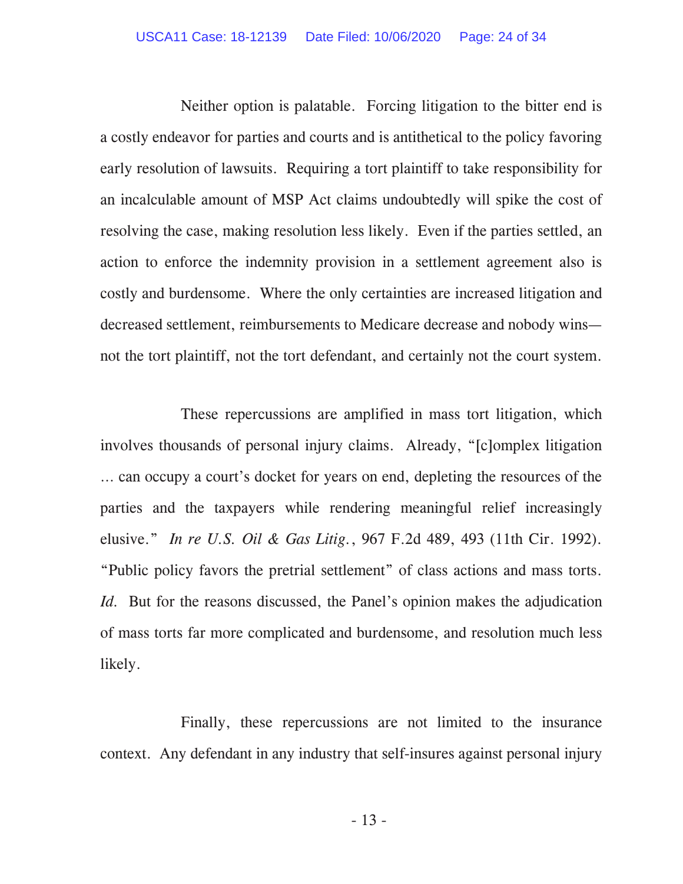#### USCA11 Case: 18-12139 Date Filed: 10/06/2020 Page: 24 of 34

Neither option is palatable. Forcing litigation to the bitter end is a costly endeavor for parties and courts and is antithetical to the policy favoring early resolution of lawsuits. Requiring a tort plaintiff to take responsibility for an incalculable amount of MSP Act claims undoubtedly will spike the cost of resolving the case, making resolution less likely. Even if the parties settled, an action to enforce the indemnity provision in a settlement agreement also is costly and burdensome. Where the only certainties are increased litigation and decreased settlement, reimbursements to Medicare decrease and nobody wins not the tort plaintiff, not the tort defendant, and certainly not the court system.

These repercussions are amplified in mass tort litigation, which involves thousands of personal injury claims. Already, "[c]omplex litigation … can occupy a court's docket for years on end, depleting the resources of the parties and the taxpayers while rendering meaningful relief increasingly elusive." *In re U.S. Oil & Gas Litig.*, 967 F.2d 489, 493 (11th Cir. 1992). "Public policy favors the pretrial settlement" of class actions and mass torts. *Id.* But for the reasons discussed, the Panel's opinion makes the adjudication of mass torts far more complicated and burdensome, and resolution much less likely.

Finally, these repercussions are not limited to the insurance context. Any defendant in any industry that self-insures against personal injury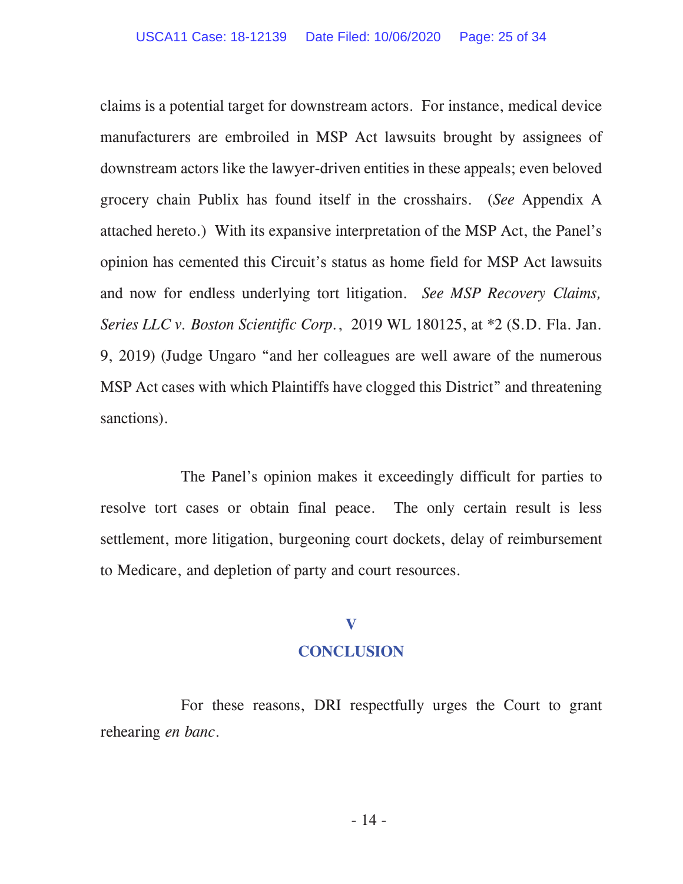claims is a potential target for downstream actors. For instance, medical device manufacturers are embroiled in MSP Act lawsuits brought by assignees of downstream actors like the lawyer-driven entities in these appeals; even beloved grocery chain Publix has found itself in the crosshairs. (*See* Appendix A attached hereto.) With its expansive interpretation of the MSP Act, the Panel's opinion has cemented this Circuit's status as home field for MSP Act lawsuits and now for endless underlying tort litigation. *See MSP Recovery Claims, Series LLC v. Boston Scientific Corp.*, 2019 WL 180125, at \*2 (S.D. Fla. Jan. 9, 2019) (Judge Ungaro "and her colleagues are well aware of the numerous MSP Act cases with which Plaintiffs have clogged this District" and threatening sanctions).

The Panel's opinion makes it exceedingly difficult for parties to resolve tort cases or obtain final peace. The only certain result is less settlement, more litigation, burgeoning court dockets, delay of reimbursement to Medicare, and depletion of party and court resources.

## **V**

### **CONCLUSION**

For these reasons, DRI respectfully urges the Court to grant rehearing *en banc*.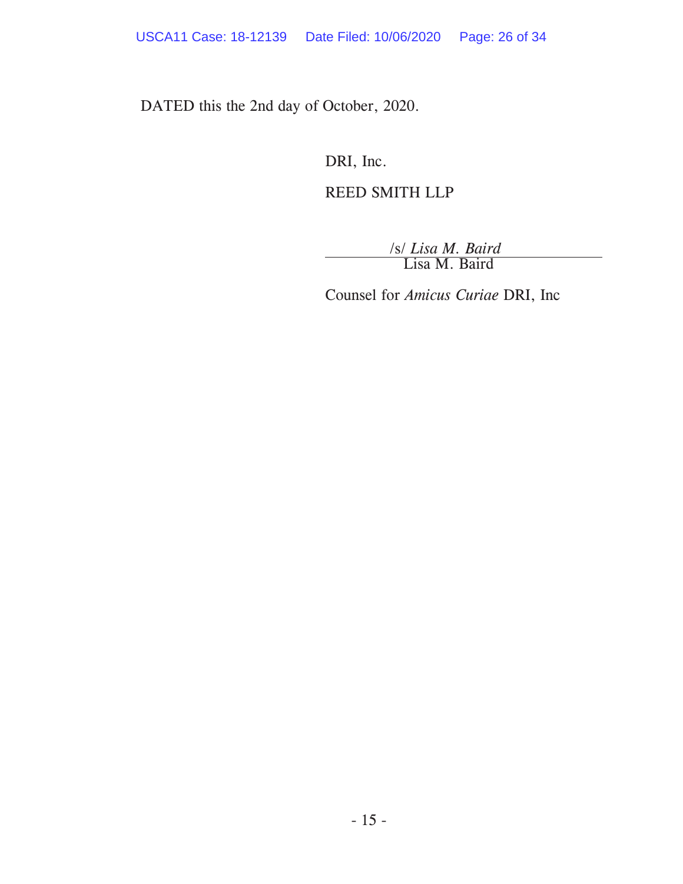DATED this the 2nd day of October, 2020.

DRI, Inc.

# REED SMITH LLP

/s/ *Lisa M. Baird* Lisa M. Baird

Counsel for *Amicus Curiae* DRI, Inc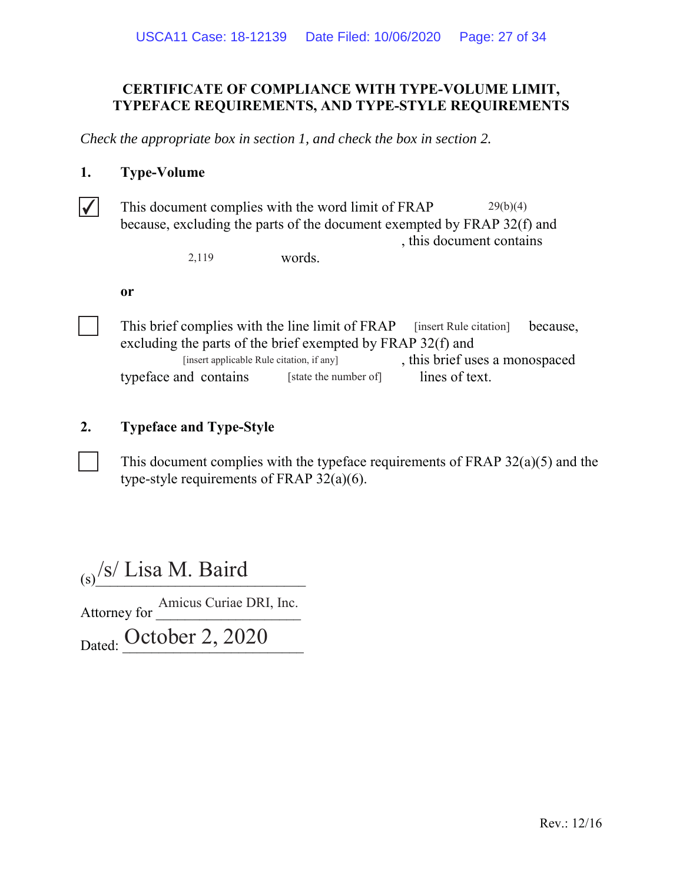# CERTIFICATE OF COMPLIANCE WITH TYPE-VOLUME LIMIT, **TYPEFACE REQUIREMENTS, AND TYPE-STYLE REQUIREMENTS**

*Check the appropriate box in section 1, and check the box in section 2.*

## 1. Type-Volume

This document complies with the word limit of FRAP  $29(b)(4)$ because, excluding the parts of the document exempted by FRAP 32(f) and , this document contains

words. 2,119

or



This brief complies with the line limit of FRAP [insert Rule citation] because, excluding the parts of the brief exempted by FRAP  $32(f)$  and , this brief uses a monospaced typeface and contains [state the number of] lines of text. [insert Rule citation] [insert applicable Rule citation, if any] [state the number of]

## **2.** Typeface and Type-Style

This document complies with the typeface requirements of FRAP  $32(a)(5)$  and the type-style requirements of FRAP  $32(a)(6)$ .

 $\frac{S}{S}$  Lisa M. Baird \$WWRUQH\IRUBBBBBBBBBBBBBBBBBBBB <sub>Dated:</sub> October 2, 2020 Amicus Curiae DRI, Inc.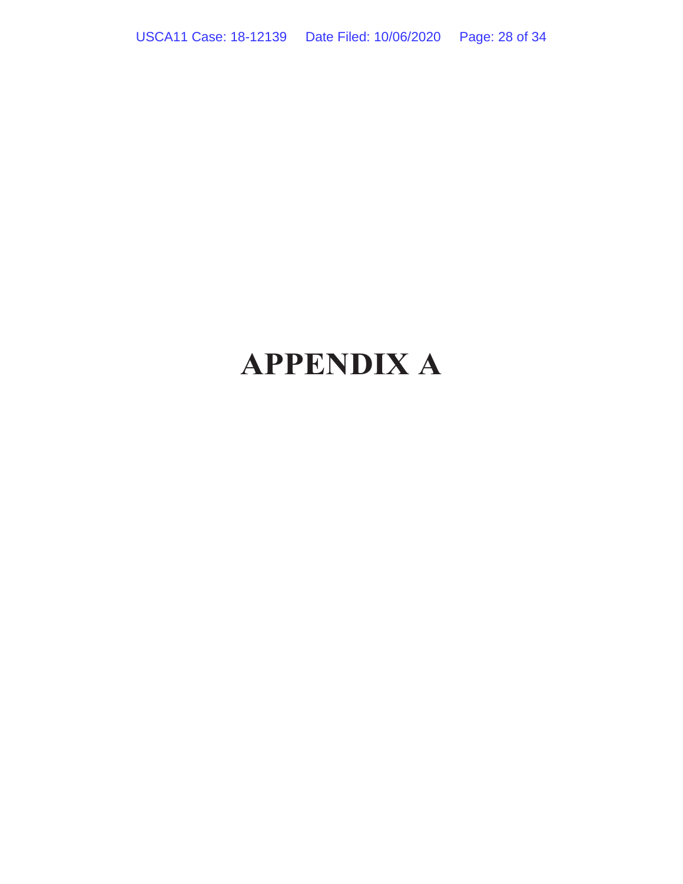# **APPENDIX A**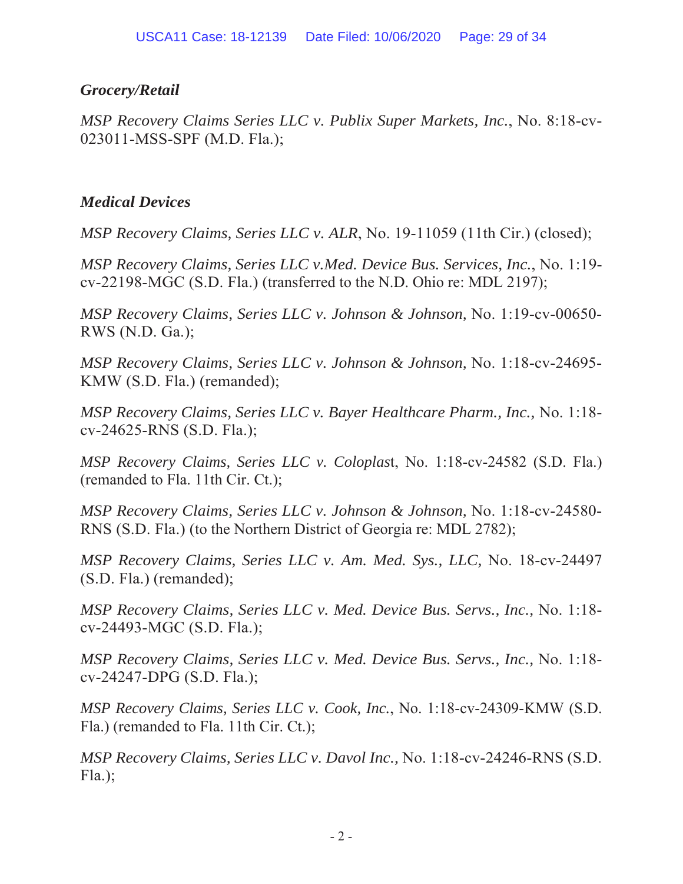# *Grocery/Retail*

*MSP Recovery Claims Series LLC v. Publix Super Markets, Inc., No. 8:18-cv-*023011-MSS-SPF (M.D. Fla.);

# *Medical Devices*

*MSP Recovery Claims, Series LLC v. ALR, No.* 19-11059 (11th Cir.) (closed);

*MSP Recovery Claims, Series LLC v.Med. Device Bus. Services, Inc., No.* 1:19 $cv-22198-MGC$  (S.D. Fla.) (transferred to the N.D. Ohio re: MDL 2197);

*MSP Recovery Claims, Series LLC v. Johnson & Johnson, No. 1:19-cv-00650-*RWS (N.D. Ga.);

*MSP Recovery Claims, Series LLC v. Johnson & Johnson, No. 1:18-cv-24695-*KMW (S.D. Fla.) (remanded);

*MSP Recovery Claims, Series LLC v. Bayer Healthcare Pharm., Inc., No.* 1:18cv-24625-RNS (S.D. Fla.);

*MSP Recovery Claims, Series LLC v. Coloplast, No.* 1:18-cv-24582 (S.D. Fla.) (remanded to Fla. 11th Cir. Ct.);

*MSP Recovery Claims, Series LLC v. Johnson & Johnson, No.* 1:18-cv-24580-RNS (S.D. Fla.) (to the Northern District of Georgia re: MDL 2782);

*MSP Recovery Claims, Series LLC v. Am. Med. Sys., LLC, No.* 18-cv-24497  $(S.D. \text{ Fla.})$  (remanded);

*MSP Recovery Claims, Series LLC v. Med. Device Bus. Servs., Inc., No.* 1:18cv-24493-MGC (S.D. Fla.);

*MSP Recovery Claims, Series LLC v. Med. Device Bus. Servs., Inc., No.* 1:18cv-24247-DPG (S.D. Fla.);

*MSP Recovery Claims, Series LLC v. Cook, Inc., No. 1:18-cv-24309-KMW (S.D.*) Fla.) (remanded to Fla. 11th Cir. Ct.);

*MSP Recovery Claims, Series LLC v. Davol Inc., No.* 1:18-cv-24246-RNS (S.D.)  $Fla$ .);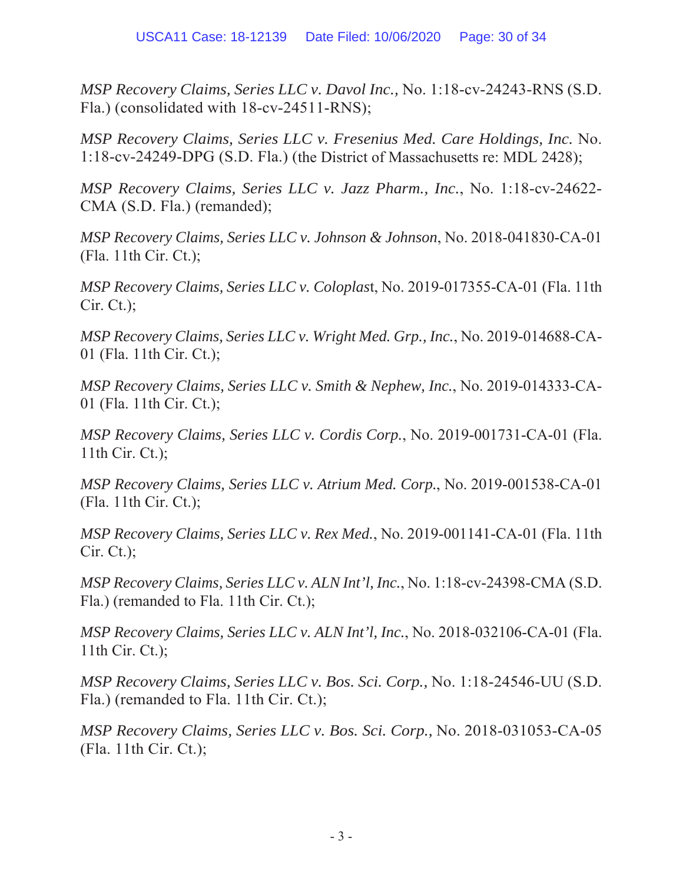*MSP Recovery Claims, Series LLC v. Davol Inc., No.* 1:18-cv-24243-RNS (S.D. Fla.) (consolidated with 18-cv-24511-RNS);

*MSP Recovery Claims, Series LLC v. Fresenius Med. Care Holdings, Inc. No.* 1:18-cv-24249-DPG (S.D. Fla.) (the District of Massachusetts re: MDL 2428);

*MSP Recovery Claims, Series LLC v. Jazz Pharm., Inc., No. 1:18-cv-24622-*CMA (S.D. Fla.) (remanded);

*MSP Recovery Claims, Series LLC v. Johnson & Johnson, No.* 2018-041830-CA-01  $(Fla. 11th Cir. Ct.);$ 

*MSP Recovery Claims, Series LLC v. Coloplast, No.* 2019-017355-CA-01 (Fla. 11th  $C$ ir.  $C$ t.);

*MSP Recovery Claims, Series LLC v. Wright Med. Grp., Inc., No.* 2019-014688-CA-01 (Fla. 11th Cir. Ct.);

*MSP Recovery Claims, Series LLC v. Smith & Nephew, Inc., No. 2019-014333-CA-*01 (Fla. 11th Cir. Ct.);

*MSP Recovery Claims, Series LLC v. Cordis Corp.*, No. 2019-001731-CA-01 (Fla. 11th Cir. Ct.);

*MSP Recovery Claims, Series LLC v. Atrium Med. Corp.*, No. 2019-001538-CA-01  $(Fla. 11th Cir. Ct.);$ 

*MSP Recovery Claims, Series LLC v. Rex Med., No.* 2019-001141-CA-01 (Fla. 11th  $C$ ir.  $C$ t.);

*MSP Recovery Claims, Series LLC v. ALN Int'l, Inc., No.* 1:18-cv-24398-CMA (S.D. Fla.) (remanded to Fla. 11th Cir. Ct.);

*MSP Recovery Claims, Series LLC v. ALN Int'l, Inc., No.* 2018-032106-CA-01 (Fla. 11th Cir. Ct.);

*MSP Recovery Claims, Series LLC v. Bos. Sci. Corp., No.* 1:18-24546-UU (S.D.) Fla.) (remanded to Fla. 11th Cir. Ct.);

*MSP Recovery Claims, Series LLC v. Bos. Sci. Corp., No.* 2018-031053-CA-05  $(Fla. 11th Cir. Ct.);$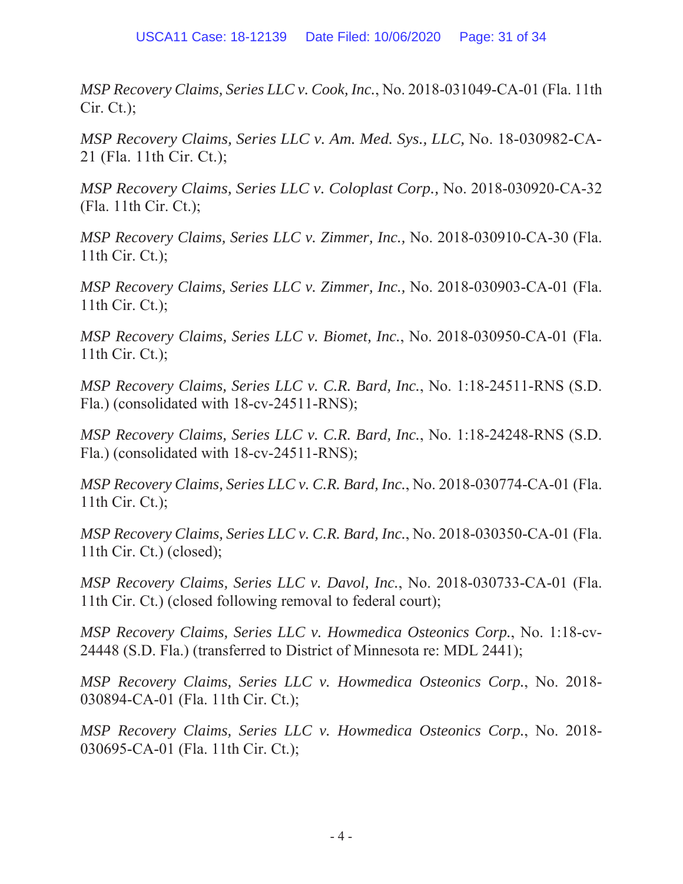*MSP Recovery Claims, Series LLC v. Cook, Inc., No.* 2018-031049-CA-01 (Fla. 11th  $C$ ir.  $C$ t.);

*MSP Recovery Claims, Series LLC v. Am. Med. Sys., LLC, No.* 18-030982-CA- $21$  (Fla. 11th Cir. Ct.);

*MSP Recovery Claims, Series LLC v. Coloplast Corp., No. 2018-030920-CA-32*  $(Fla. 11th Cir. Ct.);$ 

*MSP Recovery Claims, Series LLC v. Zimmer, Inc., No.* 2018-030910-CA-30 (Fla. 11th Cir. Ct.);

*MSP Recovery Claims, Series LLC v. Zimmer, Inc., No.* 2018-030903-CA-01 (Fla. 11th Cir. Ct.);

*MSP Recovery Claims, Series LLC v. Biomet, Inc., No.* 2018-030950-CA-01 (Fla. 11th Cir. Ct.);

*MSP Recovery Claims, Series LLC v. C.R. Bard, Inc., No.* 1:18-24511-RNS (S.D. Fla.) (consolidated with  $18$ -cv-24511-RNS);

*MSP Recovery Claims, Series LLC v. C.R. Bard, Inc., No.* 1:18-24248-RNS (S.D. Fla.) (consolidated with  $18$ -cv-24511-RNS);

*MSP Recovery Claims, Series LLC v. C.R. Bard, Inc., No.* 2018-030774-CA-01 (Fla. 11th Cir. Ct.);

*MSP Recovery Claims, Series LLC v. C.R. Bard, Inc., No.* 2018-030350-CA-01 (Fla. 11th Cir. Ct.) (closed);

*MSP Recovery Claims, Series LLC v. Davol, Inc., No.* 2018-030733-CA-01 (Fla. 11th Cir. Ct.) (closed following removal to federal court);

*MSP Recovery Claims, Series LLC v. Howmedica Osteonics Corp., No.* 1:18-cv-24448 (S.D. Fla.) (transferred to District of Minnesota re: MDL 2441);

*MSP Recovery Claims, Series LLC v. Howmedica Osteonics Corp.*, No. 2018-030894-CA-01 (Fla. 11th Cir. Ct.);

*MSP Recovery Claims, Series LLC v. Howmedica Osteonics Corp.*, No. 2018-030695-CA-01 (Fla. 11th Cir. Ct.);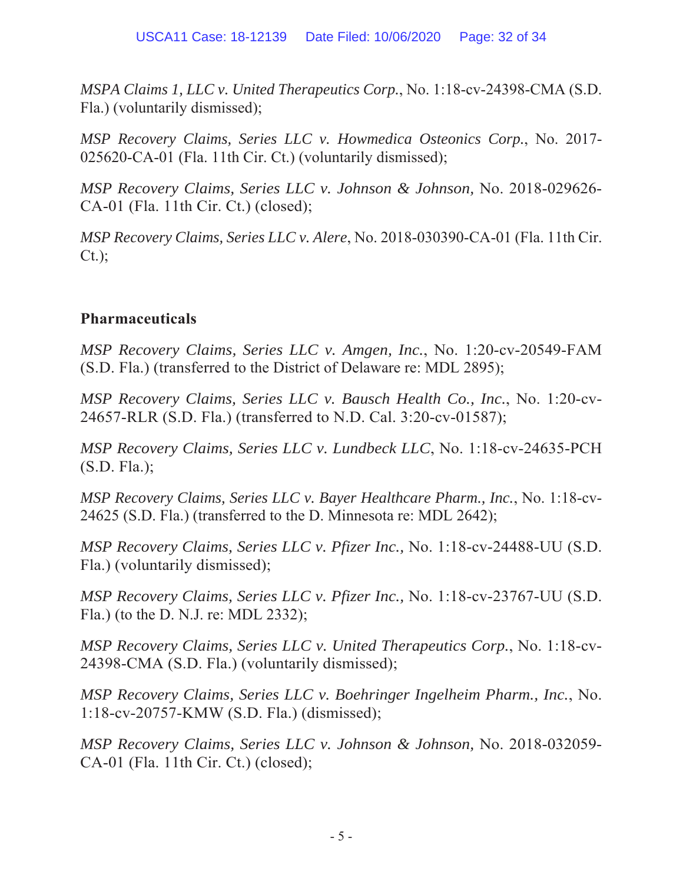*MSPA Claims 1, LLC v. United Therapeutics Corp., No.* 1:18-cv-24398-CMA (S.D. Fla.) (voluntarily dismissed);

*MSP Recovery Claims, Series LLC v. Howmedica Osteonics Corp.*, No. 2017-025620-CA-01 (Fla. 11th Cir. Ct.) (voluntarily dismissed);

*MSP Recovery Claims, Series LLC v. Johnson & Johnson, No. 2018-029626-*CA-01 (Fla. 11th Cir. Ct.) (closed);

*MSP Recovery Claims, Series LLC v. Alere, No.* 2018-030390-CA-01 (Fla. 11th Cir.  $C_{t.}$ );

# **Pharmaceuticals**

*MSP Recovery Claims, Series LLC v. Amgen, Inc., No.* 1:20-cv-20549-FAM (S.D. Fla.) (transferred to the District of Delaware re: MDL 2895);

*MSP Recovery Claims, Series LLC v. Bausch Health Co., Inc., No.* 1:20-cv-24657-RLR (S.D. Fla.) (transferred to N.D. Cal. 3:20-cv-01587);

*MSP Recovery Claims, Series LLC v. Lundbeck LLC, No.* 1:18-cv-24635-PCH  $(S.D. Fla.);$ 

*MSP Recovery Claims, Series LLC v. Bayer Healthcare Pharm., Inc., No.* 1:18-cv-24625 (S.D. Fla.) (transferred to the D. Minnesota re: MDL 2642);

*MSP Recovery Claims, Series LLC v. Pfizer Inc., No. 1:18-cv-24488-UU (S.D.*) Fla.) (voluntarily dismissed);

*MSP Recovery Claims, Series LLC v. Pfizer Inc., No.* 1:18-cv-23767-UU (S.D.)  $F$ la.) (to the D. N.J. re: MDL 2332);

*MSP Recovery Claims, Series LLC v. United Therapeutics Corp., No.* 1:18-cv-24398-CMA (S.D. Fla.) (voluntarily dismissed);

*MSP Recovery Claims, Series LLC v. Boehringer Ingelheim Pharm., Inc., No.* 1:18-cv-20757-KMW (S.D. Fla.) (dismissed);

*MSP Recovery Claims, Series LLC v. Johnson & Johnson, No. 2018-032059-* $CA-01$  (Fla. 11th Cir. Ct.) (closed);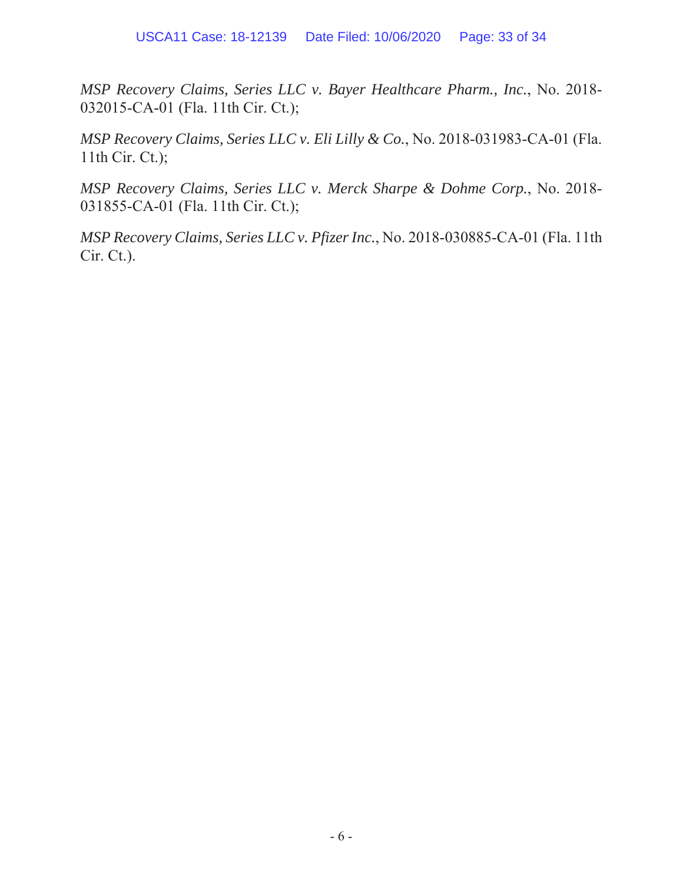*MSP Recovery Claims, Series LLC v. Bayer Healthcare Pharm., Inc., No. 2018-*032015-CA-01 (Fla. 11th Cir. Ct.);

*MSP Recovery Claims, Series LLC v. Eli Lilly & Co., No.* 2018-031983-CA-01 (Fla. 11th Cir. Ct.);

*MSP Recovery Claims, Series LLC v. Merck Sharpe & Dohme Corp., No. 2018-*031855-CA-01 (Fla. 11th Cir. Ct.);

*MSP Recovery Claims, Series LLC v. Pfizer Inc., No.* 2018-030885-CA-01 (Fla. 11th Cir. Ct.).